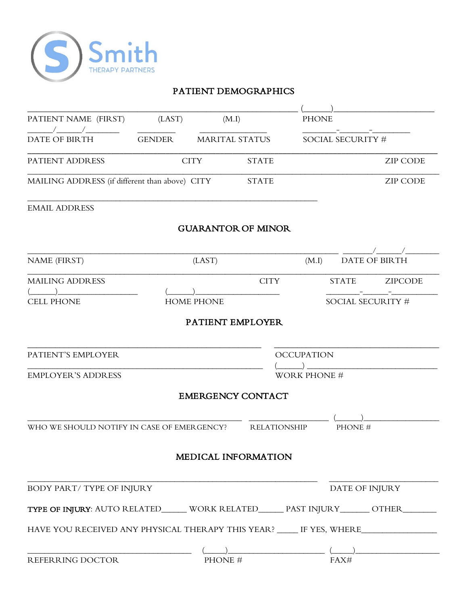

# PATIENT DEMOGRAPHICS

| PATIENT NAME (FIRST)                                                              | (LAST)        | (M.I)                 |                           | <b>PHONE</b>        |                       |                   |
|-----------------------------------------------------------------------------------|---------------|-----------------------|---------------------------|---------------------|-----------------------|-------------------|
| <b>DATE OF BIRTH</b>                                                              | <b>GENDER</b> | <b>MARITAL STATUS</b> |                           | SOCIAL SECURITY #   |                       |                   |
| PATIENT ADDRESS                                                                   |               | <b>CITY</b>           | <b>STATE</b>              |                     |                       | <b>ZIP CODE</b>   |
| MAILING ADDRESS (if different than above) CITY                                    |               |                       | <b>STATE</b>              |                     |                       | <b>ZIP CODE</b>   |
| <b>EMAIL ADDRESS</b>                                                              |               |                       |                           |                     |                       |                   |
|                                                                                   |               |                       | <b>GUARANTOR OF MINOR</b> |                     |                       |                   |
| <b>NAME (FIRST)</b>                                                               |               | (LAST)                |                           | (M.I)               |                       | DATE OF BIRTH     |
| <b>MAILING ADDRESS</b>                                                            |               |                       | <b>CITY</b>               |                     | <b>STATE</b>          | <b>ZIPCODE</b>    |
| <b>CELL PHONE</b>                                                                 |               | <b>HOME PHONE</b>     |                           |                     |                       | SOCIAL SECURITY # |
|                                                                                   |               | PATIENT EMPLOYER      |                           |                     |                       |                   |
| PATIENT'S EMPLOYER                                                                |               |                       |                           | <b>OCCUPATION</b>   |                       |                   |
| <b>EMPLOYER'S ADDRESS</b>                                                         |               |                       |                           | <b>WORK PHONE #</b> |                       |                   |
|                                                                                   |               |                       | <b>EMERGENCY CONTACT</b>  |                     |                       |                   |
| WHO WE SHOULD NOTIFY IN CASE OF EMERGENCY?                                        |               |                       | <b>RELATIONSHIP</b>       |                     | PHONE #               |                   |
|                                                                                   |               |                       |                           |                     |                       |                   |
|                                                                                   |               |                       | MEDICAL INFORMATION       |                     |                       |                   |
| BODY PART/TYPE OF INJURY                                                          |               |                       |                           |                     | <b>DATE OF INJURY</b> |                   |
| TYPE OF INJURY: AUTO RELATED_____ WORK RELATED_____ PAST INJURY______ OTHER_      |               |                       |                           |                     |                       |                   |
| HAVE YOU RECEIVED ANY PHYSICAL THERAPY THIS YEAR? _____ IF YES, WHERE____________ |               |                       |                           |                     |                       |                   |
| REFERRING DOCTOR                                                                  |               | PHONE #               |                           |                     | FAX#                  |                   |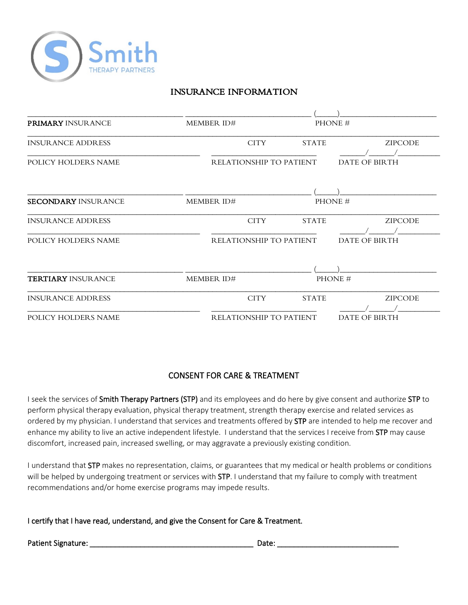

# INSURANCE INFORMATION

| <b>PRIMARY INSURANCE</b>   | <b>MEMBER ID#</b>       |              | PHONE #        |
|----------------------------|-------------------------|--------------|----------------|
| <b>INSURANCE ADDRESS</b>   | <b>CITY</b>             | <b>STATE</b> | <b>ZIPCODE</b> |
| POLICY HOLDERS NAME        | RELATIONSHIP TO PATIENT |              | DATE OF BIRTH  |
|                            |                         |              |                |
| <b>SECONDARY INSURANCE</b> | MEMBER ID#              |              | PHONE #        |
| <b>INSURANCE ADDRESS</b>   | <b>CITY</b>             | <b>STATE</b> | <b>ZIPCODE</b> |
| POLICY HOLDERS NAME        | RELATIONSHIP TO PATIENT |              | DATE OF BIRTH  |
|                            |                         |              |                |
| <b>TERTIARY INSURANCE</b>  | MEMBER ID#              |              | PHONE #        |
| <b>INSURANCE ADDRESS</b>   | <b>CITY</b>             | <b>STATE</b> | <b>ZIPCODE</b> |
| POLICY HOLDERS NAME        | RELATIONSHIP TO PATIENT |              | DATE OF BIRTH  |

# CONSENT FOR CARE & TREATMENT

I seek the services of Smith Therapy Partners (STP) and its employees and do here by give consent and authorize STP to perform physical therapy evaluation, physical therapy treatment, strength therapy exercise and related services as ordered by my physician. I understand that services and treatments offered by STP are intended to help me recover and enhance my ability to live an active independent lifestyle. I understand that the services I receive from STP may cause discomfort, increased pain, increased swelling, or may aggravate a previously existing condition.

I understand that STP makes no representation, claims, or guarantees that my medical or health problems or conditions will be helped by undergoing treatment or services with STP. I understand that my failure to comply with treatment recommendations and/or home exercise programs may impede results.

I certify that I have read, understand, and give the Consent for Care & Treatment.

Patient Signature: \_\_\_\_\_\_\_\_\_\_\_\_\_\_\_\_\_\_\_\_\_\_\_\_\_\_\_\_\_\_\_\_\_\_\_\_\_\_\_ Date: \_\_\_\_\_\_\_\_\_\_\_\_\_\_\_\_\_\_\_\_\_\_\_\_\_\_\_\_\_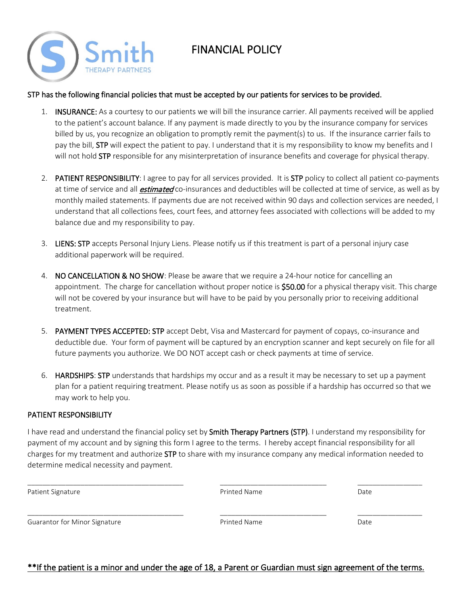

# FINANCIAL POLICY

#### STP has the following financial policies that must be accepted by our patients for services to be provided.

- 1. **INSURANCE:** As a courtesy to our patients we will bill the insurance carrier. All payments received will be applied to the patient's account balance. If any payment is made directly to you by the insurance company for services billed by us, you recognize an obligation to promptly remit the payment(s) to us. If the insurance carrier fails to pay the bill, STP will expect the patient to pay. I understand that it is my responsibility to know my benefits and I will not hold STP responsible for any misinterpretation of insurance benefits and coverage for physical therapy.
- 2. PATIENT RESPONSIBILITY: I agree to pay for all services provided. It is STP policy to collect all patient co-payments at time of service and all *estimated* co-insurances and deductibles will be collected at time of service, as well as by monthly mailed statements. If payments due are not received within 90 days and collection services are needed, I understand that all collections fees, court fees, and attorney fees associated with collections will be added to my balance due and my responsibility to pay.
- 3. LIENS: STP accepts Personal Injury Liens. Please notify us if this treatment is part of a personal injury case additional paperwork will be required.
- 4. NO CANCELLATION & NO SHOW: Please be aware that we require a 24-hour notice for cancelling an appointment. The charge for cancellation without proper notice is \$50.00 for a physical therapy visit. This charge will not be covered by your insurance but will have to be paid by you personally prior to receiving additional treatment.
- 5. PAYMENT TYPES ACCEPTED: STP accept Debt, Visa and Mastercard for payment of copays, co-insurance and deductible due. Your form of payment will be captured by an encryption scanner and kept securely on file for all future payments you authorize. We DO NOT accept cash or check payments at time of service.
- 6. HARDSHIPS: STP understands that hardships my occur and as a result it may be necessary to set up a payment plan for a patient requiring treatment. Please notify us as soon as possible if a hardship has occurred so that we may work to help you.

#### PATIENT RESPONSIBILITY

I have read and understand the financial policy set by Smith Therapy Partners (STP). I understand my responsibility for payment of my account and by signing this form I agree to the terms. I hereby accept financial responsibility for all charges for my treatment and authorize STP to share with my insurance company any medical information needed to determine medical necessity and payment.

| Patient Signature             | <b>Printed Name</b> | Date |
|-------------------------------|---------------------|------|
| Guarantor for Minor Signature | Printed Name        | Date |

### \*\*If the patient is a minor and under the age of 18, a Parent or Guardian must sign agreement of the terms.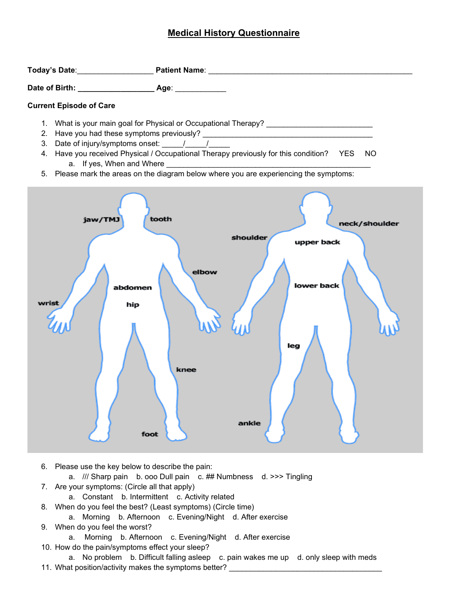# **Medical History Questionnaire**

| <b>Current Episode of Care</b>    |                                                                                                                                                                                                                                                                                    |
|-----------------------------------|------------------------------------------------------------------------------------------------------------------------------------------------------------------------------------------------------------------------------------------------------------------------------------|
|                                   | 4. Have you received Physical / Occupational Therapy previously for this condition? YES NO<br>a. If yes, When and Where <b>Consense and Serverse Consense and Serverse Consensustion</b><br>5. Please mark the areas on the diagram below where you are experiencing the symptoms: |
| jaw/TMJ<br>abdomen<br>hip<br>foot | tooth<br>neck/shoulder<br>shoulder<br>upper back<br>elbow<br>lower back<br>leg<br>knee<br>ankle                                                                                                                                                                                    |

6. Please use the key below to describe the pain:

a. /// Sharp pain b. ooo Dull pain c. ## Numbness d. >>> Tingling

- 7. Are your symptoms: (Circle all that apply)
	- a. Constant b. Intermittent c. Activity related
- 8. When do you feel the best? (Least symptoms) (Circle time)
- a. Morning b. Afternoon c. Evening/Night d. After exercise
- 9. When do you feel the worst?
	- a. Morning b. Afternoon c. Evening/Night d. After exercise
- 10. How do the pain/symptoms effect your sleep?

a. No problem b. Difficult falling asleep c. pain wakes me up d. only sleep with meds 11. What position/activity makes the symptoms better?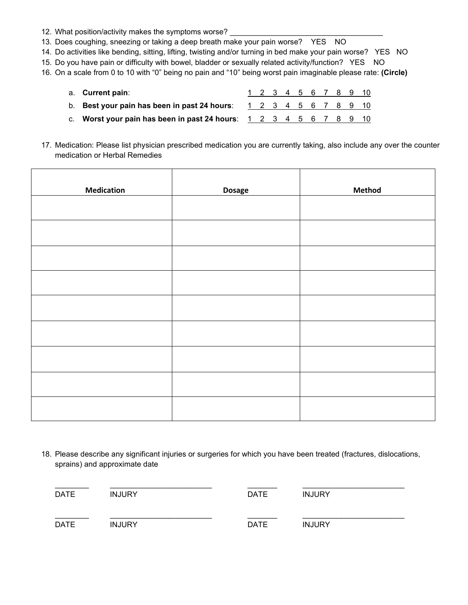- 12. What position/activity makes the symptoms worse?
- 13. Does coughing, sneezing or taking a deep breath make your pain worse? YES NO
- 14. Do activities like bending, sitting, lifting, twisting and/or turning in bed make your pain worse? YES NO
- 15. Do you have pain or difficulty with bowel, bladder or sexually related activity/function? YES NO
- 16. On a scale from 0 to 10 with "0" being no pain and "10" being worst pain imaginable please rate: **(Circle)**
	- a. **Current pain**: 1 2 3 4 5 6 7 8 9 10
	- b. **Best your pain has been in past 24 hours**:  $123445678910$
	- c. **Worst your pain has been in past 24 hours**: 1 2 3 4 5 6 7 8 9 10

17. Medication: Please list physician prescribed medication you are currently taking, also include any over the counter medication or Herbal Remedies

| <b>Medication</b> | <b>Dosage</b> | <b>Method</b> |
|-------------------|---------------|---------------|
|                   |               |               |
|                   |               |               |
|                   |               |               |
|                   |               |               |
|                   |               |               |
|                   |               |               |
|                   |               |               |
|                   |               |               |
|                   |               |               |

18. Please describe any significant injuries or surgeries for which you have been treated (fractures, dislocations, sprains) and approximate date

| <b>DATE</b> | <b>INJURY</b> | <b>DATE</b> | <b>INJURY</b> |
|-------------|---------------|-------------|---------------|
| <b>DATE</b> | <b>INJURY</b> | <b>DATE</b> | <b>INJURY</b> |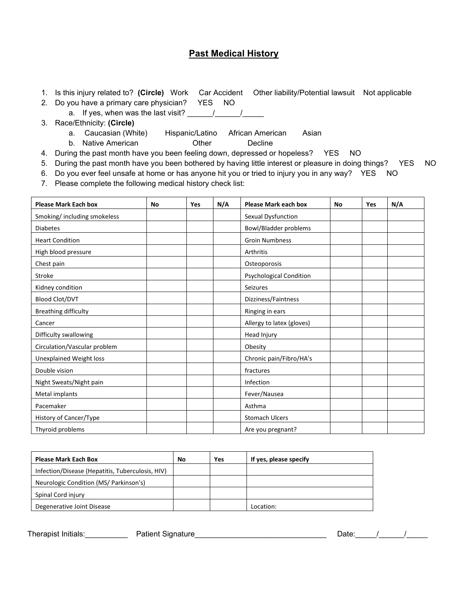# **Past Medical History**

1. Is this injury related to? **(Circle)** Work Car Accident Other liability/Potential lawsuit Not applicable

- 2. Do you have a primary care physician? YES NO a. If yes, when was the last visit?  $\frac{1}{\frac{1}{2}}$
- 3. Race/Ethnicity: **(Circle)**
	- a. Caucasian (White) Hispanic/Latino African American Asian
	- b. Native American **Decline** Other Decline
- 4. During the past month have you been feeling down, depressed or hopeless? YES NO
- 5. During the past month have you been bothered by having little interest or pleasure in doing things? YES NO
- 6. Do you ever feel unsafe at home or has anyone hit you or tried to injury you in any way? YES NO
- 7. Please complete the following medical history check list:

| <b>Please Mark Each box</b>    | <b>No</b> | Yes | N/A | <b>Please Mark each box</b>    | No | Yes | N/A |
|--------------------------------|-----------|-----|-----|--------------------------------|----|-----|-----|
| Smoking/including smokeless    |           |     |     | Sexual Dysfunction             |    |     |     |
| <b>Diabetes</b>                |           |     |     | Bowl/Bladder problems          |    |     |     |
| <b>Heart Condition</b>         |           |     |     | <b>Groin Numbness</b>          |    |     |     |
| High blood pressure            |           |     |     | Arthritis                      |    |     |     |
| Chest pain                     |           |     |     | Osteoporosis                   |    |     |     |
| Stroke                         |           |     |     | <b>Psychological Condition</b> |    |     |     |
| Kidney condition               |           |     |     | <b>Seizures</b>                |    |     |     |
| <b>Blood Clot/DVT</b>          |           |     |     | Dizziness/Faintness            |    |     |     |
| Breathing difficulty           |           |     |     | Ringing in ears                |    |     |     |
| Cancer                         |           |     |     | Allergy to latex (gloves)      |    |     |     |
| Difficulty swallowing          |           |     |     | Head Injury                    |    |     |     |
| Circulation/Vascular problem   |           |     |     | Obesity                        |    |     |     |
| <b>Unexplained Weight loss</b> |           |     |     | Chronic pain/Fibro/HA's        |    |     |     |
| Double vision                  |           |     |     | fractures                      |    |     |     |
| Night Sweats/Night pain        |           |     |     | Infection                      |    |     |     |
| Metal implants                 |           |     |     | Fever/Nausea                   |    |     |     |
| Pacemaker                      |           |     |     | Asthma                         |    |     |     |
| History of Cancer/Type         |           |     |     | <b>Stomach Ulcers</b>          |    |     |     |
| Thyroid problems               |           |     |     | Are you pregnant?              |    |     |     |

| <b>Please Mark Each Box</b>                      | No | Yes | If yes, please specify |
|--------------------------------------------------|----|-----|------------------------|
| Infection/Disease (Hepatitis, Tuberculosis, HIV) |    |     |                        |
| Neurologic Condition (MS/ Parkinson's)           |    |     |                        |
| Spinal Cord injury                               |    |     |                        |
| Degenerative Joint Disease                       |    |     | Location:              |

Therapist Initials: Therapist Initials: Therapist Initials: A Patient Signature Community Community Date: The M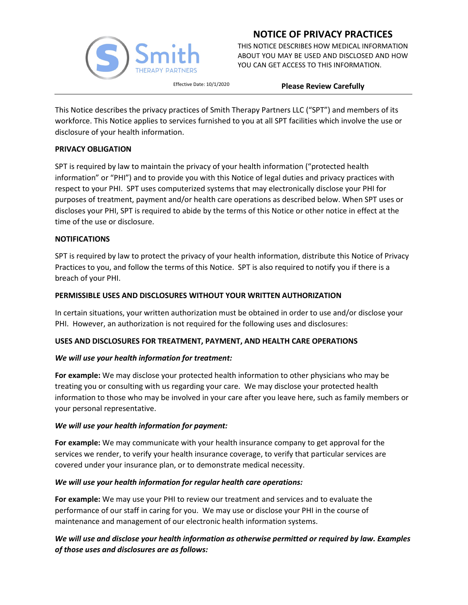

THIS NOTICE DESCRIBES HOW MEDICAL INFORMATION ABOUT YOU MAY BE USED AND DISCLOSED AND HOW YOU CAN GET ACCESS TO THIS INFORMATION.

Effective Date: 10/1/2020 **Please Review Carefully**

This Notice describes the privacy practices of Smith Therapy Partners LLC ("SPT") and members of its workforce. This Notice applies to services furnished to you at all SPT facilities which involve the use or disclosure of your health information.

#### **PRIVACY OBLIGATION**

SPT is required by law to maintain the privacy of your health information ("protected health information" or "PHI") and to provide you with this Notice of legal duties and privacy practices with respect to your PHI. SPT uses computerized systems that may electronically disclose your PHI for purposes of treatment, payment and/or health care operations as described below. When SPT uses or discloses your PHI, SPT is required to abide by the terms of this Notice or other notice in effect at the time of the use or disclosure.

#### **NOTIFICATIONS**

SPT is required by law to protect the privacy of your health information, distribute this Notice of Privacy Practices to you, and follow the terms of this Notice. SPT is also required to notify you if there is a breach of your PHI.

#### **PERMISSIBLE USES AND DISCLOSURES WITHOUT YOUR WRITTEN AUTHORIZATION**

In certain situations, your written authorization must be obtained in order to use and/or disclose your PHI. However, an authorization is not required for the following uses and disclosures:

#### **USES AND DISCLOSURES FOR TREATMENT, PAYMENT, AND HEALTH CARE OPERATIONS**

#### *We will use your health information for treatment:*

**For example:** We may disclose your protected health information to other physicians who may be treating you or consulting with us regarding your care. We may disclose your protected health information to those who may be involved in your care after you leave here, such as family members or your personal representative.

#### *We will use your health information for payment:*

**For example:** We may communicate with your health insurance company to get approval for the services we render, to verify your health insurance coverage, to verify that particular services are covered under your insurance plan, or to demonstrate medical necessity.

#### *We will use your health information for regular health care operations:*

**For example:** We may use your PHI to review our treatment and services and to evaluate the performance of our staff in caring for you. We may use or disclose your PHI in the course of maintenance and management of our electronic health information systems.

### *We will use and disclose your health information as otherwise permitted or required by law. Examples of those uses and disclosures are as follows:*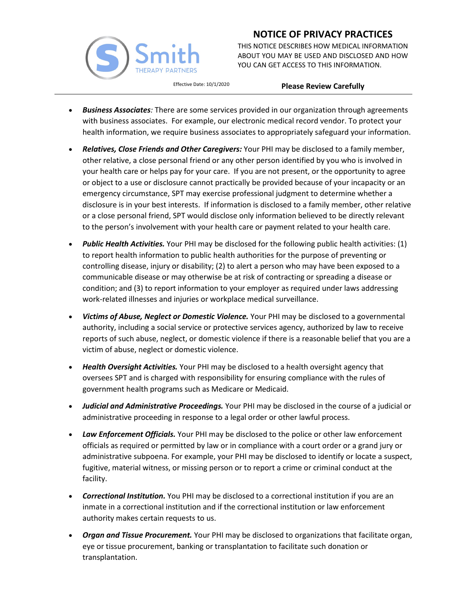

THIS NOTICE DESCRIBES HOW MEDICAL INFORMATION ABOUT YOU MAY BE USED AND DISCLOSED AND HOW YOU CAN GET ACCESS TO THIS INFORMATION.

### Effective Date: 10/1/2020 **Please Review Carefully**

- *Business Associates:* There are some services provided in our organization through agreements with business associates. For example, our electronic medical record vendor. To protect your health information, we require business associates to appropriately safeguard your information.
- *Relatives, Close Friends and Other Caregivers:* Your PHI may be disclosed to a family member, other relative, a close personal friend or any other person identified by you who is involved in your health care or helps pay for your care. If you are not present, or the opportunity to agree or object to a use or disclosure cannot practically be provided because of your incapacity or an emergency circumstance, SPT may exercise professional judgment to determine whether a disclosure is in your best interests. If information is disclosed to a family member, other relative or a close personal friend, SPT would disclose only information believed to be directly relevant to the person's involvement with your health care or payment related to your health care.
- *Public Health Activities.* Your PHI may be disclosed for the following public health activities: (1) to report health information to public health authorities for the purpose of preventing or controlling disease, injury or disability; (2) to alert a person who may have been exposed to a communicable disease or may otherwise be at risk of contracting or spreading a disease or condition; and (3) to report information to your employer as required under laws addressing work-related illnesses and injuries or workplace medical surveillance.
- *Victims of Abuse, Neglect or Domestic Violence.* Your PHI may be disclosed to a governmental authority, including a social service or protective services agency, authorized by law to receive reports of such abuse, neglect, or domestic violence if there is a reasonable belief that you are a victim of abuse, neglect or domestic violence.
- *Health Oversight Activities.* Your PHI may be disclosed to a health oversight agency that oversees SPT and is charged with responsibility for ensuring compliance with the rules of government health programs such as Medicare or Medicaid.
- *Judicial and Administrative Proceedings.* Your PHI may be disclosed in the course of a judicial or administrative proceeding in response to a legal order or other lawful process.
- *Law Enforcement Officials.* Your PHI may be disclosed to the police or other law enforcement officials as required or permitted by law or in compliance with a court order or a grand jury or administrative subpoena. For example, your PHI may be disclosed to identify or locate a suspect, fugitive, material witness, or missing person or to report a crime or criminal conduct at the facility.
- *Correctional Institution.* You PHI may be disclosed to a correctional institution if you are an inmate in a correctional institution and if the correctional institution or law enforcement authority makes certain requests to us.
- *Organ and Tissue Procurement.* Your PHI may be disclosed to organizations that facilitate organ, eye or tissue procurement, banking or transplantation to facilitate such donation or transplantation.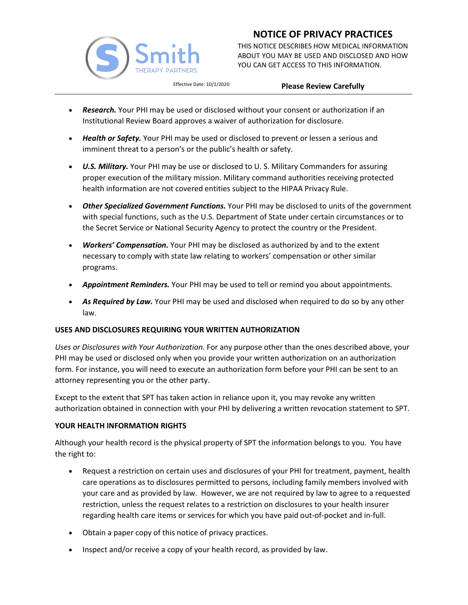

THIS NOTICE DESCRIBES HOW MEDICAL INFORMATION ABOUT YOU MAY BE USED AND DISCLOSED AND HOW YOU CAN GET ACCESS TO THIS INFORMATION.

### Effective Date: 10/1/2020 **Please Review Carefully**

- *Research.* Your PHI may be used or disclosed without your consent or authorization if an Institutional Review Board approves a waiver of authorization for disclosure.
- *Health or Safety.* Your PHI may be used or disclosed to prevent or lessen a serious and imminent threat to a person's or the public's health or safety.
- *U.S. Military.* Your PHI may be use or disclosed to U. S. Military Commanders for assuring proper execution of the military mission. Military command authorities receiving protected health information are not covered entities subject to the HIPAA Privacy Rule.
- *Other Specialized Government Functions.* Your PHI may be disclosed to units of the government with special functions, such as the U.S. Department of State under certain circumstances or to the Secret Service or National Security Agency to protect the country or the President.
- *Workers' Compensation.* Your PHI may be disclosed as authorized by and to the extent necessary to comply with state law relating to workers' compensation or other similar programs.
- *Appointment Reminders.* Your PHI may be used to tell or remind you about appointments.
- **As Required by Law.** Your PHI may be used and disclosed when required to do so by any other law.

### **USES AND DISCLOSURES REQUIRING YOUR WRITTEN AUTHORIZATION**

*Uses or Disclosures with Your Authorization.* For any purpose other than the ones described above, your PHI may be used or disclosed only when you provide your written authorization on an authorization form. For instance, you will need to execute an authorization form before your PHI can be sent to an attorney representing you or the other party.

Except to the extent that SPT has taken action in reliance upon it, you may revoke any written authorization obtained in connection with your PHI by delivering a written revocation statement to SPT.

### **YOUR HEALTH INFORMATION RIGHTS**

Although your health record is the physical property of SPT the information belongs to you. You have the right to:

- Request a restriction on certain uses and disclosures of your PHI for treatment, payment, health care operations as to disclosures permitted to persons, including family members involved with your care and as provided by law. However, we are not required by law to agree to a requested restriction, unless the request relates to a restriction on disclosures to your health insurer regarding health care items or services for which you have paid out-of-pocket and in-full.
- Obtain a paper copy of this notice of privacy practices.
- Inspect and/or receive a copy of your health record, as provided by law.